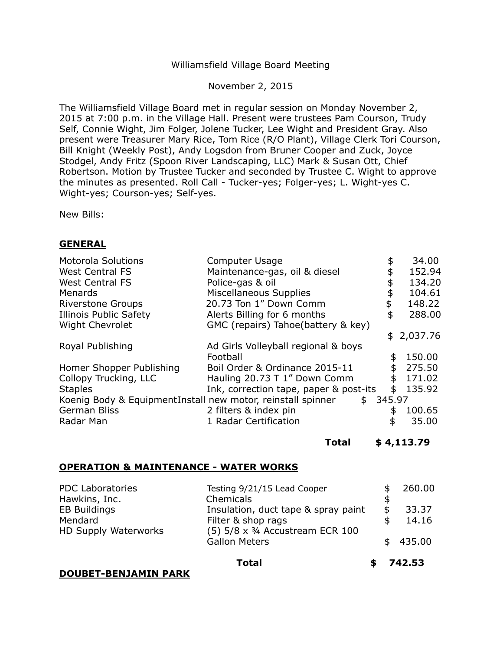# Williamsfield Village Board Meeting

November 2, 2015

The Williamsfield Village Board met in regular session on Monday November 2, 2015 at 7:00 p.m. in the Village Hall. Present were trustees Pam Courson, Trudy Self, Connie Wight, Jim Folger, Jolene Tucker, Lee Wight and President Gray. Also present were Treasurer Mary Rice, Tom Rice (R/O Plant), Village Clerk Tori Courson, Bill Knight (Weekly Post), Andy Logsdon from Bruner Cooper and Zuck, Joyce Stodgel, Andy Fritz (Spoon River Landscaping, LLC) Mark & Susan Ott, Chief Robertson. Motion by Trustee Tucker and seconded by Trustee C. Wight to approve the minutes as presented. Roll Call - Tucker-yes; Folger-yes; L. Wight-yes C. Wight-yes; Courson-yes; Self-yes.

New Bills:

# **GENERAL**

| <b>Motorola Solutions</b>                                   | <b>Computer Usage</b>                  | \$<br>34.00  |
|-------------------------------------------------------------|----------------------------------------|--------------|
| <b>West Central FS</b>                                      | Maintenance-gas, oil & diesel          | \$<br>152.94 |
| <b>West Central FS</b>                                      | Police-gas & oil                       | \$<br>134.20 |
| Menards                                                     | Miscellaneous Supplies                 | \$<br>104.61 |
| <b>Riverstone Groups</b>                                    | 20.73 Ton 1" Down Comm                 | \$<br>148.22 |
| Illinois Public Safety                                      | Alerts Billing for 6 months            | \$<br>288.00 |
| <b>Wight Chevrolet</b>                                      | GMC (repairs) Tahoe(battery & key)     |              |
|                                                             |                                        | \$2,037.76   |
| Royal Publishing                                            | Ad Girls Volleyball regional & boys    |              |
|                                                             | Football                               | \$<br>150.00 |
| Homer Shopper Publishing                                    | Boil Order & Ordinance 2015-11         | \$<br>275.50 |
| Collopy Trucking, LLC                                       | Hauling 20.73 T 1" Down Comm           | \$<br>171.02 |
| <b>Staples</b>                                              | Ink, correction tape, paper & post-its | \$<br>135.92 |
| Koenig Body & EquipmentInstall new motor, reinstall spinner | \$345.97                               |              |
| German Bliss                                                | 2 filters & index pin                  | \$<br>100.65 |
| Radar Man                                                   | 1 Radar Certification                  | \$<br>35.00  |

**Total \$ [4,113.79](https://4,113.79)** 

### **OPERATION & MAINTENANCE - WATER WORKS**

| <b>PDC Laboratories</b> | Testing 9/21/15 Lead Cooper                  | 260.00 |  |
|-------------------------|----------------------------------------------|--------|--|
| Hawkins, Inc.           | Chemicals                                    |        |  |
| <b>EB Buildings</b>     | Insulation, duct tape & spray paint          | 33.37  |  |
| Mendard                 | Filter & shop rags                           | 14.16  |  |
| HD Supply Waterworks    | $(5)$ 5/8 x $\frac{3}{4}$ Accustream ECR 100 |        |  |
|                         | <b>Gallon Meters</b>                         | 435.00 |  |
|                         |                                              |        |  |

**Total \$ 742.53** 

**DOUBET-BENJAMIN PARK**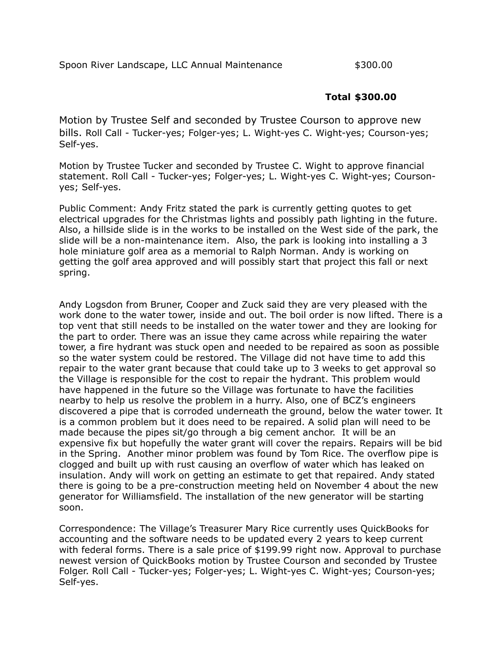# **Total \$300.00**

 Motion by Trustee Self and seconded by Trustee Courson to approve new bills. Roll Call - Tucker-yes; Folger-yes; L. Wight-yes C. Wight-yes; Courson-yes; Self-yes.

 Motion by Trustee Tucker and seconded by Trustee C. Wight to approve financial statement. Roll Call - Tucker-yes; Folger-yes; L. Wight-yes C. Wight-yes; Courson-yes; Self-yes.

 Public Comment: Andy Fritz stated the park is currently getting quotes to get electrical upgrades for the Christmas lights and possibly path lighting in the future. Also, a hillside slide is in the works to be installed on the West side of the park, the slide will be a non-maintenance item. Also, the park is looking into installing a 3 hole miniature golf area as a memorial to Ralph Norman. Andy is working on getting the golf area approved and will possibly start that project this fall or next spring.

spring.<br>Andy Logsdon from Bruner, Cooper and Zuck said they are very pleased with the work done to the water tower, inside and out. The boil order is now lifted. There is a top vent that still needs to be installed on the water tower and they are looking for the part to order. There was an issue they came across while repairing the water tower, a fire hydrant was stuck open and needed to be repaired as soon as possible so the water system could be restored. The Village did not have time to add this repair to the water grant because that could take up to 3 weeks to get approval so the Village is responsible for the cost to repair the hydrant. This problem would have happened in the future so the Village was fortunate to have the facilities nearby to help us resolve the problem in a hurry. Also, one of BCZ's engineers discovered a pipe that is corroded underneath the ground, below the water tower. It is a common problem but it does need to be repaired. A solid plan will need to be made because the pipes sit/go through a big cement anchor. It will be an expensive fix but hopefully the water grant will cover the repairs. Repairs will be bid in the Spring. Another minor problem was found by Tom Rice. The overflow pipe is clogged and built up with rust causing an overflow of water which has leaked on insulation. Andy will work on getting an estimate to get that repaired. Andy stated there is going to be a pre-construction meeting held on November 4 about the new generator for Williamsfield. The installation of the new generator will be starting  $S<sub>0</sub>$ 

soon.<br>Correspondence: The Village's Treasurer Mary Rice currently uses QuickBooks for accounting and the software needs to be updated every 2 years to keep current with federal forms. There is a sale price of \$199.99 right now. Approval to purchase newest version of QuickBooks motion by Trustee Courson and seconded by Trustee Folger. Roll Call - Tucker-yes; Folger-yes; L. Wight-yes C. Wight-yes; Courson-yes; Self-yes.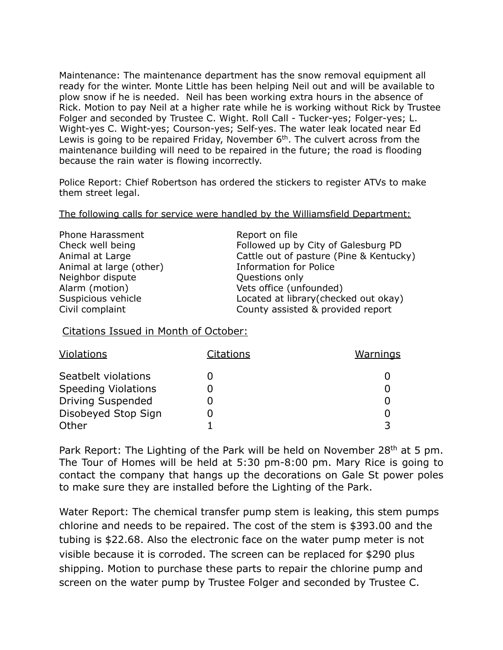Maintenance: The maintenance department has the snow removal equipment all ready for the winter. Monte Little has been helping Neil out and will be available to plow snow if he is needed. Neil has been working extra hours in the absence of Rick. Motion to pay Neil at a higher rate while he is working without Rick by Trustee Folger and seconded by Trustee C. Wight. Roll Call - Tucker-yes; Folger-yes; L. Wight-yes C. Wight-yes; Courson-yes; Self-yes. The water leak located near Ed Lewis is going to be repaired Friday, November  $6<sup>th</sup>$ . The culvert across from the maintenance building will need to be repaired in the future; the road is flooding because the rain water is flowing incorrectly.

 Police Report: Chief Robertson has ordered the stickers to register ATVs to make them street legal.

them street legal.<br>The following calls for service were handled by the Williamsfield Department:

| <b>Phone Harassment</b> |
|-------------------------|
| Check well being        |
| Animal at Large         |
| Animal at large (other) |
| Neighbor dispute        |
| Alarm (motion)          |
| Suspicious vehicle      |
| Civil complaint         |

Report on file Followed up by City of Galesburg PD Cattle out of pasture (Pine & Kentucky) Information for Police Questions only Vets office (unfounded) Located at library(checked out okay) County assisted & provided report

Citations Issued in Month of October:

| Violations                 | Citations | <u>Warnings</u> |
|----------------------------|-----------|-----------------|
| Seatbelt violations        |           |                 |
| <b>Speeding Violations</b> |           |                 |
| <b>Driving Suspended</b>   |           |                 |
| Disobeyed Stop Sign        |           |                 |
| Other                      |           |                 |

Park Report: The Lighting of the Park will be held on November 28<sup>th</sup> at 5 pm. The Tour of Homes will be held at 5:30 pm-8:00 pm. Mary Rice is going to contact the company that hangs up the decorations on Gale St power poles to make sure they are installed before the Lighting of the Park.

 Water Report: The chemical transfer pump stem is leaking, this stem pumps chlorine and needs to be repaired. The cost of the stem is \$393.00 and the tubing is \$22.68. Also the electronic face on the water pump meter is not visible because it is corroded. The screen can be replaced for \$290 plus shipping. Motion to purchase these parts to repair the chlorine pump and screen on the water pump by Trustee Folger and seconded by Trustee C.